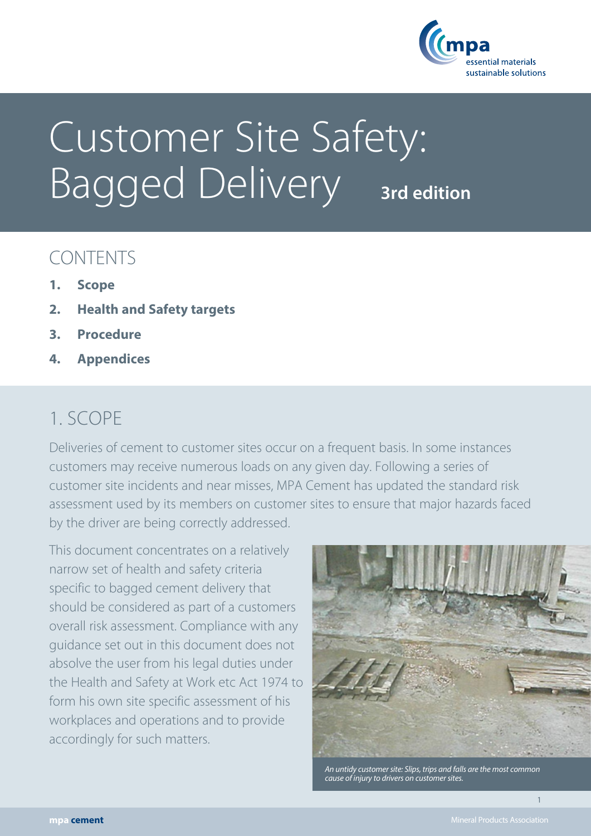

# Customer Site Safety: **Bagged Delivery** 3rd edition

## CONTENTS

- **1. Scope**
- **2. Health and Safety targets**
- **3. Procedure**
- **4. Appendices**

### 1. SCOPE

Deliveries of cement to customer sites occur on a frequent basis. In some instances customers may receive numerous loads on any given day. Following a series of customer site incidents and near misses, MPA Cement has updated the standard risk assessment used by its members on customer sites to ensure that major hazards faced by the driver are being correctly addressed.

This document concentrates on a relatively narrow set of health and safety criteria specific to bagged cement delivery that should be considered as part of a customers overall risk assessment. Compliance with any guidance set out in this document does not absolve the user from his legal duties under the Health and Safety at Work etc Act 1974 to form his own site specific assessment of his workplaces and operations and to provide accordingly for such matters.



*An untidy customer site: Slips, trips and falls are the most common cause of injury to drivers on customer sites.* 

1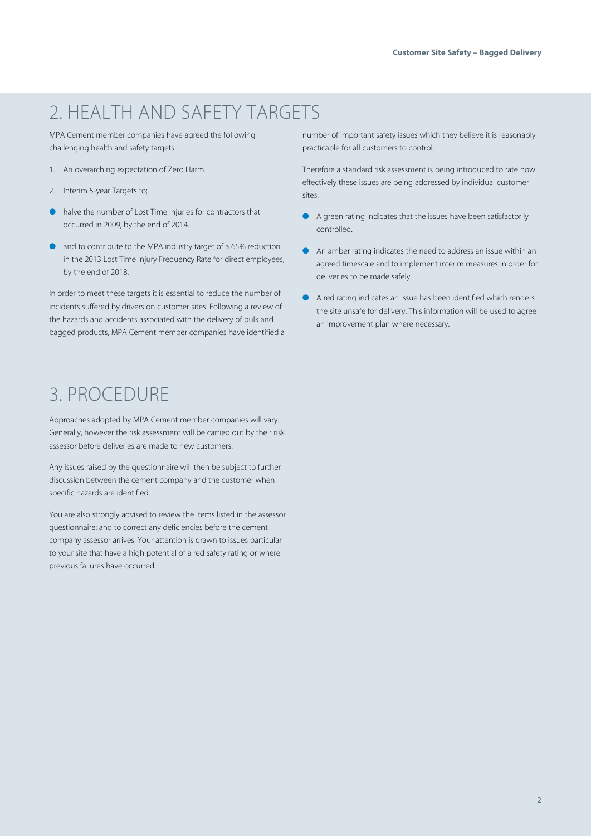# 2. HEALTH AND SAFETY TARGETS

MPA Cement member companies have agreed the following challenging health and safety targets:

- 1. An overarching expectation of Zero Harm.
- 2. Interim 5-year Targets to;
- halve the number of Lost Time Injuries for contractors that occurred in 2009, by the end of 2014.
- and to contribute to the MPA industry target of a 65% reduction in the 2013 Lost Time Injury Frequency Rate for direct employees, by the end of 2018.

In order to meet these targets it is essential to reduce the number of incidents suffered by drivers on customer sites. Following a review of the hazards and accidents associated with the delivery of bulk and bagged products, MPA Cement member companies have identified a

# 3. PROCEDURE

Approaches adopted by MPA Cement member companies will vary. Generally, however the risk assessment will be carried out by their risk assessor before deliveries are made to new customers.

Any issues raised by the questionnaire will then be subject to further discussion between the cement company and the customer when specific hazards are identified.

You are also strongly advised to review the items listed in the assessor questionnaire: and to correct any deficiencies before the cement company assessor arrives. Your attention is drawn to issues particular to your site that have a high potential of a red safety rating or where previous failures have occurred.

number of important safety issues which they believe it is reasonably practicable for all customers to control.

Therefore a standard risk assessment is being introduced to rate how effectively these issues are being addressed by individual customer sites.

- � A green rating indicates that the issues have been satisfactorily controlled.
- An amber rating indicates the need to address an issue within an agreed timescale and to implement interim measures in order for deliveries to be made safely.
- � A red rating indicates an issue has been identified which renders the site unsafe for delivery. This information will be used to agree an improvement plan where necessary.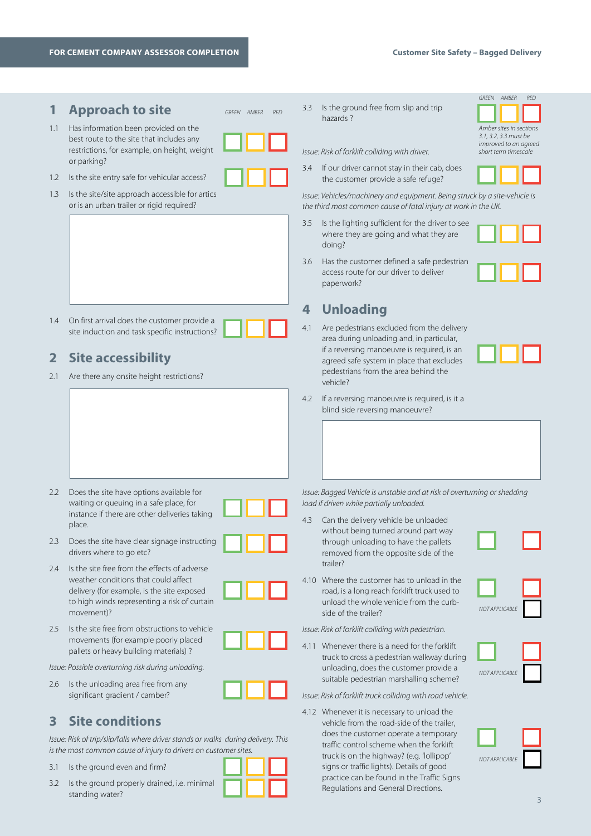3.2 Is the ground properly drained, i.e. minimal

standing water?

| 1.1<br>1.2<br>1.3 | <b>Approach to site</b><br>Has information been provided on the<br>best route to the site that includes any<br>restrictions, for example, on height, weight<br>or parking?<br>Is the site entry safe for vehicular access?<br>Is the site/site approach accessible for artics<br>or is an urban trailer or rigid required? | GREEN AMBER<br><b>RED</b>                          | 3.3<br>3.4<br>3.5 | Is the ground free from slip and trip<br>hazards?<br>Issue: Risk of forklift colliding with driver.<br>If our driver cannot stay in their cab, does<br>the customer provide a safe refuge?<br>Issue: Vehicles/machinery and equipment. Being struck by a site-vehicle is<br>the third most common cause of fatal injury at work in the UK.<br>Is the lighting sufficient for the driver to see<br>where they are going and what they are | GREEN AMBER<br>RED<br>Amber sites in sections<br>3.1, 3.2, 3.3 must be<br>improved to an agreed<br>short term timescale |  |
|-------------------|----------------------------------------------------------------------------------------------------------------------------------------------------------------------------------------------------------------------------------------------------------------------------------------------------------------------------|----------------------------------------------------|-------------------|------------------------------------------------------------------------------------------------------------------------------------------------------------------------------------------------------------------------------------------------------------------------------------------------------------------------------------------------------------------------------------------------------------------------------------------|-------------------------------------------------------------------------------------------------------------------------|--|
|                   |                                                                                                                                                                                                                                                                                                                            |                                                    | 3.6<br>4          | doing?<br>Has the customer defined a safe pedestrian<br>access route for our driver to deliver<br>paperwork?<br><b>Unloading</b>                                                                                                                                                                                                                                                                                                         |                                                                                                                         |  |
| 1.4               | On first arrival does the customer provide a<br>site induction and task specific instructions?                                                                                                                                                                                                                             |                                                    | 4.1               | Are pedestrians excluded from the delivery<br>area during unloading and, in particular,                                                                                                                                                                                                                                                                                                                                                  |                                                                                                                         |  |
| 2                 | <b>Site accessibility</b>                                                                                                                                                                                                                                                                                                  |                                                    |                   | if a reversing manoeuvre is required, is an<br>agreed safe system in place that excludes                                                                                                                                                                                                                                                                                                                                                 |                                                                                                                         |  |
| 2.1               | Are there any onsite height restrictions?                                                                                                                                                                                                                                                                                  |                                                    |                   | pedestrians from the area behind the<br>vehicle?                                                                                                                                                                                                                                                                                                                                                                                         |                                                                                                                         |  |
|                   |                                                                                                                                                                                                                                                                                                                            |                                                    | 4.2               | If a reversing manoeuvre is required, is it a<br>blind side reversing manoeuvre?                                                                                                                                                                                                                                                                                                                                                         |                                                                                                                         |  |
| 2.2               | Does the site have options available for<br>waiting or queuing in a safe place, for<br>instance if there are other deliveries taking<br>place.                                                                                                                                                                             |                                                    | 4.3               | Issue: Bagged Vehicle is unstable and at risk of overturning or shedding<br>load if driven while partially unloaded.<br>Can the delivery vehicle be unloaded                                                                                                                                                                                                                                                                             |                                                                                                                         |  |
|                   | 2.3 Does the site have clear signage instructing<br>drivers where to go etc?                                                                                                                                                                                                                                               |                                                    |                   | without being turned around part way<br>through unloading to have the pallets<br>removed from the opposite side of the                                                                                                                                                                                                                                                                                                                   |                                                                                                                         |  |
| 2.4               | Is the site free from the effects of adverse<br>weather conditions that could affect<br>delivery (for example, is the site exposed<br>to high winds representing a risk of curtain<br>movement)?                                                                                                                           |                                                    |                   | trailer?<br>4.10 Where the customer has to unload in the<br>road, is a long reach forklift truck used to<br>unload the whole vehicle from the curb-<br>side of the trailer?                                                                                                                                                                                                                                                              | NOT APPLICABLE                                                                                                          |  |
| 2.5               | Is the site free from obstructions to vehicle<br>movements (for example poorly placed                                                                                                                                                                                                                                      |                                                    |                   | Issue: Risk of forklift colliding with pedestrian.                                                                                                                                                                                                                                                                                                                                                                                       |                                                                                                                         |  |
|                   | pallets or heavy building materials)?                                                                                                                                                                                                                                                                                      |                                                    |                   | 4.11 Whenever there is a need for the forklift<br>truck to cross a pedestrian walkway during                                                                                                                                                                                                                                                                                                                                             |                                                                                                                         |  |
| 2.6               | Is the unloading area free from any                                                                                                                                                                                                                                                                                        | Issue: Possible overturning risk during unloading. |                   | unloading, does the customer provide a<br>suitable pedestrian marshalling scheme?                                                                                                                                                                                                                                                                                                                                                        | NOT APPLICABLE                                                                                                          |  |
|                   | significant gradient / camber?                                                                                                                                                                                                                                                                                             |                                                    |                   | Issue: Risk of forklift truck colliding with road vehicle.                                                                                                                                                                                                                                                                                                                                                                               |                                                                                                                         |  |
| 3                 | <b>Site conditions</b><br>Issue: Risk of trip/slip/falls where driver stands or walks during delivery. This<br>is the most common cause of injury to drivers on customer sites.                                                                                                                                            |                                                    |                   | 4.12 Whenever it is necessary to unload the<br>vehicle from the road-side of the trailer,<br>does the customer operate a temporary<br>traffic control scheme when the forklift<br>truck is on the highway? (e.g. 'lollipop'                                                                                                                                                                                                              | NOT APPLICABLE                                                                                                          |  |
| 3.1               | Is the ground even and firm?                                                                                                                                                                                                                                                                                               |                                                    |                   | signs or traffic lights). Details of good<br>practice can be found in the Traffic Signs                                                                                                                                                                                                                                                                                                                                                  |                                                                                                                         |  |

Regulations and General Directions.